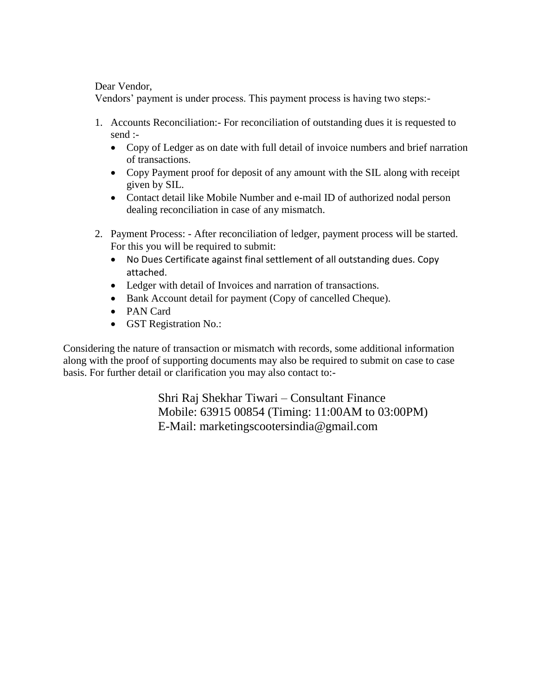Dear Vendor,

Vendors' payment is under process. This payment process is having two steps:-

- 1. Accounts Reconciliation:- For reconciliation of outstanding dues it is requested to send :-
	- Copy of Ledger as on date with full detail of invoice numbers and brief narration of transactions.
	- Copy Payment proof for deposit of any amount with the SIL along with receipt given by SIL.
	- Contact detail like Mobile Number and e-mail ID of authorized nodal person dealing reconciliation in case of any mismatch.
- 2. Payment Process: After reconciliation of ledger, payment process will be started. For this you will be required to submit:
	- No Dues Certificate against final settlement of all outstanding dues. Copy attached.
	- Ledger with detail of Invoices and narration of transactions.
	- Bank Account detail for payment (Copy of cancelled Cheque).
	- PAN Card
	- GST Registration No.:

Considering the nature of transaction or mismatch with records, some additional information along with the proof of supporting documents may also be required to submit on case to case basis. For further detail or clarification you may also contact to:-

> Shri Raj Shekhar Tiwari – Consultant Finance Mobile: 63915 00854 (Timing: 11:00AM to 03:00PM) E-Mail: marketingscootersindia@gmail.com